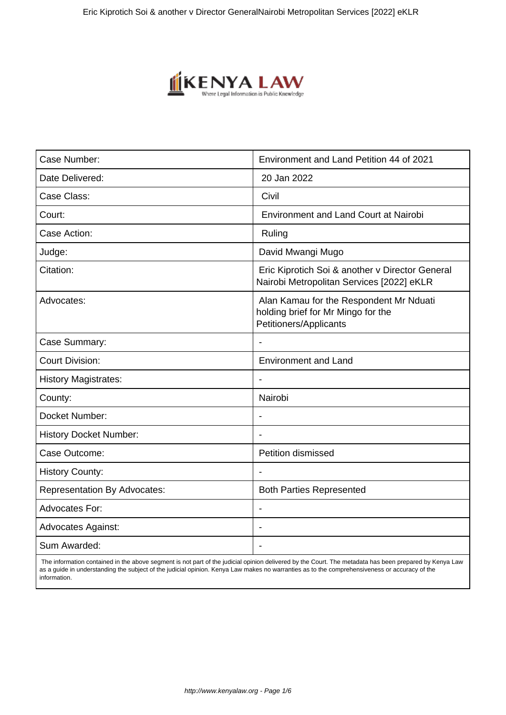

| Case Number:                        | Environment and Land Petition 44 of 2021                                                                |
|-------------------------------------|---------------------------------------------------------------------------------------------------------|
| Date Delivered:                     | 20 Jan 2022                                                                                             |
| Case Class:                         | Civil                                                                                                   |
| Court:                              | <b>Environment and Land Court at Nairobi</b>                                                            |
| Case Action:                        | Ruling                                                                                                  |
| Judge:                              | David Mwangi Mugo                                                                                       |
| Citation:                           | Eric Kiprotich Soi & another v Director General<br>Nairobi Metropolitan Services [2022] eKLR            |
| Advocates:                          | Alan Kamau for the Respondent Mr Nduati<br>holding brief for Mr Mingo for the<br>Petitioners/Applicants |
| Case Summary:                       |                                                                                                         |
| <b>Court Division:</b>              | <b>Environment and Land</b>                                                                             |
| <b>History Magistrates:</b>         | $\overline{\phantom{a}}$                                                                                |
| County:                             | Nairobi                                                                                                 |
| Docket Number:                      |                                                                                                         |
| <b>History Docket Number:</b>       |                                                                                                         |
| Case Outcome:                       | Petition dismissed                                                                                      |
| <b>History County:</b>              |                                                                                                         |
| <b>Representation By Advocates:</b> | <b>Both Parties Represented</b>                                                                         |
| <b>Advocates For:</b>               | $\overline{\phantom{a}}$                                                                                |
| <b>Advocates Against:</b>           | $\blacksquare$                                                                                          |
| Sum Awarded:                        |                                                                                                         |

 The information contained in the above segment is not part of the judicial opinion delivered by the Court. The metadata has been prepared by Kenya Law as a guide in understanding the subject of the judicial opinion. Kenya Law makes no warranties as to the comprehensiveness or accuracy of the information.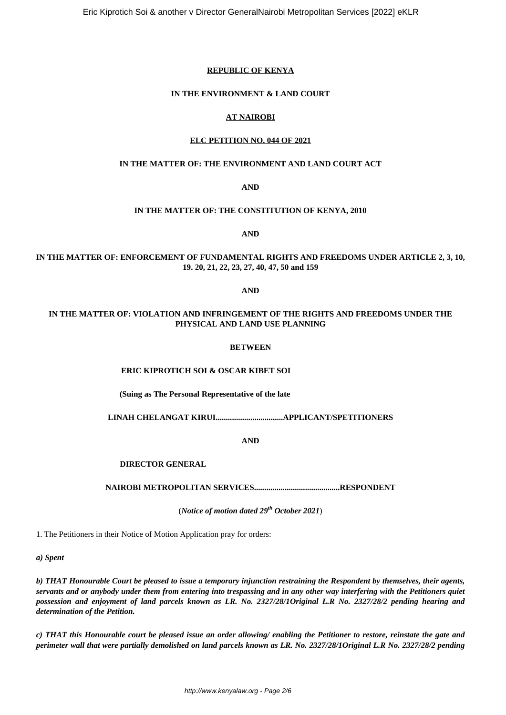## **REPUBLIC OF KENYA**

## **IN THE ENVIRONMENT & LAND COURT**

## **AT NAIROBI**

## **ELC PETITION NO. 044 OF 2021**

# **IN THE MATTER OF: THE ENVIRONMENT AND LAND COURT ACT**

## **AND**

## **IN THE MATTER OF: THE CONSTITUTION OF KENYA, 2010**

**AND**

## **IN THE MATTER OF: ENFORCEMENT OF FUNDAMENTAL RIGHTS AND FREEDOMS UNDER ARTICLE 2, 3, 10, 19. 20, 21, 22, 23, 27, 40, 47, 50 and 159**

## **AND**

# **IN THE MATTER OF: VIOLATION AND INFRINGEMENT OF THE RIGHTS AND FREEDOMS UNDER THE PHYSICAL AND LAND USE PLANNING**

## **BETWEEN**

## **ERIC KIPROTICH SOI & OSCAR KIBET SOI**

**(Suing as The Personal Representative of the late**

**LINAH CHELANGAT KIRUI.................................APPLICANT/SPETITIONERS**

**AND**

## **DIRECTOR GENERAL**

**NAIROBI METROPOLITAN SERVICES..........................................RESPONDENT**

(*Notice of motion dated 29th October 2021*)

1. The Petitioners in their Notice of Motion Application pray for orders:

*a) Spent* 

*b) THAT Honourable Court be pleased to issue a temporary injunction restraining the Respondent by themselves, their agents, servants and or anybody under them from entering into trespassing and in any other way interfering with the Petitioners quiet possession and enjoyment of land parcels known as LR. No. 2327/28/1Original L.R No. 2327/28/2 pending hearing and determination of the Petition.*

*c) THAT this Honourable court be pleased issue an order allowing/ enabling the Petitioner to restore, reinstate the gate and perimeter wall that were partially demolished on land parcels known as LR. No. 2327/28/1Original L.R No. 2327/28/2 pending*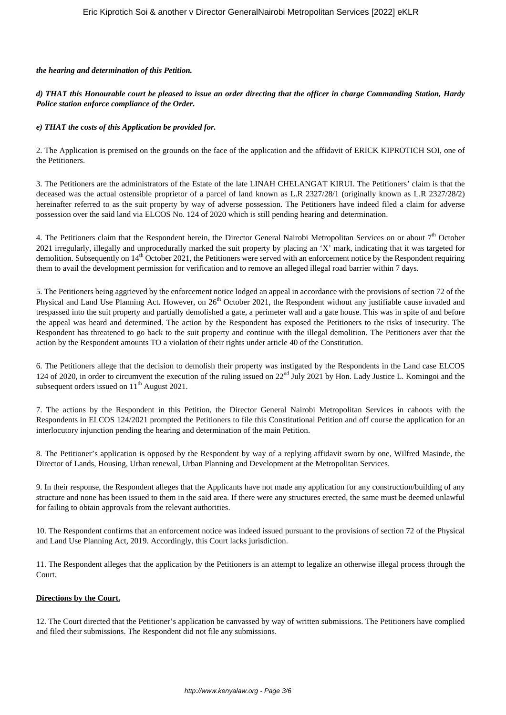### *the hearing and determination of this Petition.*

## *d) THAT this Honourable court be pleased to issue an order directing that the officer in charge Commanding Station, Hardy Police station enforce compliance of the Order.*

#### *e) THAT the costs of this Application be provided for.*

2. The Application is premised on the grounds on the face of the application and the affidavit of ERICK KIPROTICH SOI, one of the Petitioners.

3. The Petitioners are the administrators of the Estate of the late LINAH CHELANGAT KIRUI. The Petitioners' claim is that the deceased was the actual ostensible proprietor of a parcel of land known as L.R 2327/28/1 (originally known as L.R 2327/28/2) hereinafter referred to as the suit property by way of adverse possession. The Petitioners have indeed filed a claim for adverse possession over the said land via ELCOS No. 124 of 2020 which is still pending hearing and determination.

4. The Petitioners claim that the Respondent herein, the Director General Nairobi Metropolitan Services on or about 7<sup>th</sup> October 2021 irregularly, illegally and unprocedurally marked the suit property by placing an 'X' mark, indicating that it was targeted for demolition. Subsequently on 14<sup>th</sup> October 2021, the Petitioners were served with an enforcement notice by the Respondent requiring them to avail the development permission for verification and to remove an alleged illegal road barrier within 7 days.

5. The Petitioners being aggrieved by the enforcement notice lodged an appeal in accordance with the provisions of section 72 of the Physical and Land Use Planning Act. However, on 26<sup>th</sup> October 2021, the Respondent without any justifiable cause invaded and trespassed into the suit property and partially demolished a gate, a perimeter wall and a gate house. This was in spite of and before the appeal was heard and determined. The action by the Respondent has exposed the Petitioners to the risks of insecurity. The Respondent has threatened to go back to the suit property and continue with the illegal demolition. The Petitioners aver that the action by the Respondent amounts TO a violation of their rights under article 40 of the Constitution.

6. The Petitioners allege that the decision to demolish their property was instigated by the Respondents in the Land case ELCOS 124 of 2020, in order to circumvent the execution of the ruling issued on 22<sup>nd</sup> July 2021 by Hon. Lady Justice L. Komingoi and the subsequent orders issued on  $11<sup>th</sup>$  August 2021.

7. The actions by the Respondent in this Petition, the Director General Nairobi Metropolitan Services in cahoots with the Respondents in ELCOS 124/2021 prompted the Petitioners to file this Constitutional Petition and off course the application for an interlocutory injunction pending the hearing and determination of the main Petition.

8. The Petitioner's application is opposed by the Respondent by way of a replying affidavit sworn by one, Wilfred Masinde, the Director of Lands, Housing, Urban renewal, Urban Planning and Development at the Metropolitan Services.

9. In their response, the Respondent alleges that the Applicants have not made any application for any construction/building of any structure and none has been issued to them in the said area. If there were any structures erected, the same must be deemed unlawful for failing to obtain approvals from the relevant authorities.

10. The Respondent confirms that an enforcement notice was indeed issued pursuant to the provisions of section 72 of the Physical and Land Use Planning Act, 2019. Accordingly, this Court lacks jurisdiction.

11. The Respondent alleges that the application by the Petitioners is an attempt to legalize an otherwise illegal process through the Court.

#### **Directions by the Court.**

12. The Court directed that the Petitioner's application be canvassed by way of written submissions. The Petitioners have complied and filed their submissions. The Respondent did not file any submissions.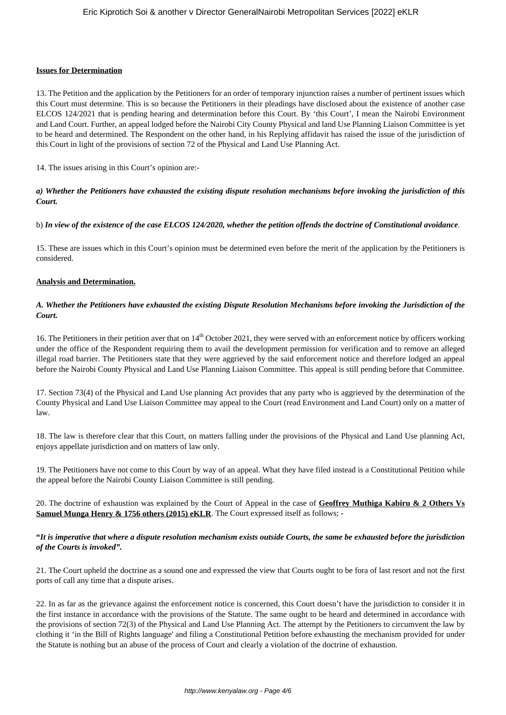## **Issues for Determination**

13. The Petition and the application by the Petitioners for an order of temporary injunction raises a number of pertinent issues which this Court must determine. This is so because the Petitioners in their pleadings have disclosed about the existence of another case ELCOS 124/2021 that is pending hearing and determination before this Court. By 'this Court', I mean the Nairobi Environment and Land Court. Further, an appeal lodged before the Nairobi City County Physical and land Use Planning Liaison Committee is yet to be heard and determined. The Respondent on the other hand, in his Replying affidavit has raised the issue of the jurisdiction of this Court in light of the provisions of section 72 of the Physical and Land Use Planning Act.

14. The issues arising in this Court's opinion are:-

## *a) Whether the Petitioners have exhausted the existing dispute resolution mechanisms before invoking the jurisdiction of this Court.*

#### b) *In view of the existence of the case ELCOS 124/2020, whether the petition offends the doctrine of Constitutional avoidance*.

15. These are issues which in this Court's opinion must be determined even before the merit of the application by the Petitioners is considered.

#### **Analysis and Determination.**

## *A. Whether the Petitioners have exhausted the existing Dispute Resolution Mechanisms before invoking the Jurisdiction of the Court.*

16. The Petitioners in their petition aver that on  $14<sup>th</sup>$  October 2021, they were served with an enforcement notice by officers working under the office of the Respondent requiring them to avail the development permission for verification and to remove an alleged illegal road barrier. The Petitioners state that they were aggrieved by the said enforcement notice and therefore lodged an appeal before the Nairobi County Physical and Land Use Planning Liaison Committee. This appeal is still pending before that Committee.

17. Section 73(4) of the Physical and Land Use planning Act provides that any party who is aggrieved by the determination of the County Physical and Land Use Liaison Committee may appeal to the Court (read Environment and Land Court) only on a matter of law.

18. The law is therefore clear that this Court, on matters falling under the provisions of the Physical and Land Use planning Act, enjoys appellate jurisdiction and on matters of law only.

19. The Petitioners have not come to this Court by way of an appeal. What they have filed instead is a Constitutional Petition while the appeal before the Nairobi County Liaison Committee is still pending.

20. The doctrine of exhaustion was explained by the Court of Appeal in the case of **Geoffrey Muthiga Kabiru & 2 Others Vs Samuel Munga Henry & 1756 others (2015) eKLR**. The Court expressed itself as follows; -

## **"***It is imperative that where a dispute resolution mechanism exists outside Courts, the same be exhausted before the jurisdiction of the Courts is invoked".*

21. The Court upheld the doctrine as a sound one and expressed the view that Courts ought to be fora of last resort and not the first ports of call any time that a dispute arises.

22. In as far as the grievance against the enforcement notice is concerned, this Court doesn't have the jurisdiction to consider it in the first instance in accordance with the provisions of the Statute. The same ought to be heard and determined in accordance with the provisions of section 72(3) of the Physical and Land Use Planning Act. The attempt by the Petitioners to circumvent the law by clothing it 'in the Bill of Rights language' and filing a Constitutional Petition before exhausting the mechanism provided for under the Statute is nothing but an abuse of the process of Court and clearly a violation of the doctrine of exhaustion.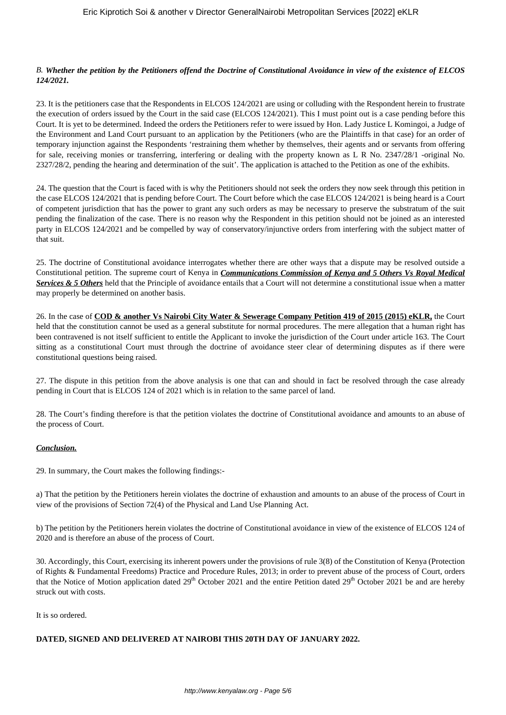# *B. Whether the petition by the Petitioners offend the Doctrine of Constitutional Avoidance in view of the existence of ELCOS 124/2021.*

23. It is the petitioners case that the Respondents in ELCOS 124/2021 are using or colluding with the Respondent herein to frustrate the execution of orders issued by the Court in the said case (ELCOS 124/2021). This I must point out is a case pending before this Court. It is yet to be determined. Indeed the orders the Petitioners refer to were issued by Hon. Lady Justice L Komingoi, a Judge of the Environment and Land Court pursuant to an application by the Petitioners (who are the Plaintiffs in that case) for an order of temporary injunction against the Respondents 'restraining them whether by themselves, their agents and or servants from offering for sale, receiving monies or transferring, interfering or dealing with the property known as L R No. 2347/28/1 -original No. 2327/28/2, pending the hearing and determination of the suit'. The application is attached to the Petition as one of the exhibits.

*2*4. The question that the Court is faced with is why the Petitioners should not seek the orders they now seek through this petition in the case ELCOS 124/2021 that is pending before Court. The Court before which the case ELCOS 124/2021 is being heard is a Court of competent jurisdiction that has the power to grant any such orders as may be necessary to preserve the substratum of the suit pending the finalization of the case. There is no reason why the Respondent in this petition should not be joined as an interested party in ELCOS 124/2021 and be compelled by way of conservatory/injunctive orders from interfering with the subject matter of that suit.

25. The doctrine of Constitutional avoidance interrogates whether there are other ways that a dispute may be resolved outside a Constitutional petition. The supreme court of Kenya in *Communications Commission of Kenya and 5 Others Vs Royal Medical Services & 5 Others* held that the Principle of avoidance entails that a Court will not determine a constitutional issue when a matter may properly be determined on another basis.

26. In the case of **COD & another Vs Nairobi City Water & Sewerage Company Petition 419 of 2015 (2015) eKLR,** the Court held that the constitution cannot be used as a general substitute for normal procedures. The mere allegation that a human right has been contravened is not itself sufficient to entitle the Applicant to invoke the jurisdiction of the Court under article 163. The Court sitting as a constitutional Court must through the doctrine of avoidance steer clear of determining disputes as if there were constitutional questions being raised.

27. The dispute in this petition from the above analysis is one that can and should in fact be resolved through the case already pending in Court that is ELCOS 124 of 2021 which is in relation to the same parcel of land.

28. The Court's finding therefore is that the petition violates the doctrine of Constitutional avoidance and amounts to an abuse of the process of Court.

## *Conclusion.*

29. In summary, the Court makes the following findings:-

a) That the petition by the Petitioners herein violates the doctrine of exhaustion and amounts to an abuse of the process of Court in view of the provisions of Section 72(4) of the Physical and Land Use Planning Act.

b) The petition by the Petitioners herein violates the doctrine of Constitutional avoidance in view of the existence of ELCOS 124 of 2020 and is therefore an abuse of the process of Court.

30. Accordingly, this Court, exercising its inherent powers under the provisions of rule 3(8) of the Constitution of Kenya (Protection of Rights & Fundamental Freedoms) Practice and Procedure Rules, 2013; in order to prevent abuse of the process of Court, orders that the Notice of Motion application dated  $29<sup>th</sup>$  October 2021 and the entire Petition dated  $29<sup>th</sup>$  October 2021 be and are hereby struck out with costs.

It is so ordered.

## **DATED, SIGNED AND DELIVERED AT NAIROBI THIS 20TH DAY OF JANUARY 2022.**